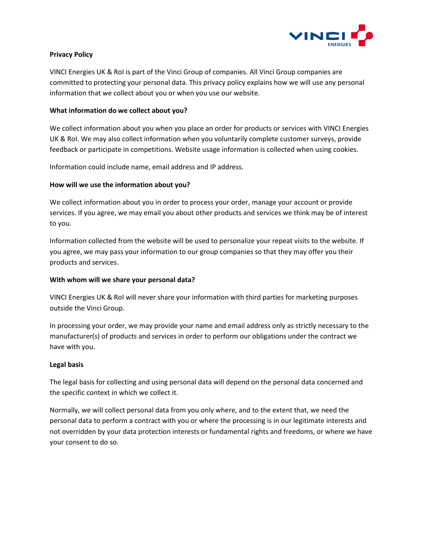

# **Privacy Policy**

VINCI Energies UK & RoI is part of the Vinci Group of companies. All Vinci Group companies are committed to protecting your personal data. This privacy policy explains how we will use any personal information that we collect about you or when you use our website.

## **What information do we collect about you?**

We collect information about you when you place an order for products or services with VINCI Energies UK & RoI. We may also collect information when you voluntarily complete customer surveys, provide feedback or participate in competitions. Website usage information is collected when using cookies.

Information could include name, email address and IP address.

# **How will we use the information about you?**

We collect information about you in order to process your order, manage your account or provide services. If you agree, we may email you about other products and services we think may be of interest to you.

Information collected from the website will be used to personalize your repeat visits to the website. If you agree, we may pass your information to our group companies so that they may offer you their products and services.

## **With whom will we share your personal data?**

VINCI Energies UK & RoI will never share your information with third parties for marketing purposes outside the Vinci Group.

In processing your order, we may provide your name and email address only as strictly necessary to the manufacturer(s) of products and services in order to perform our obligations under the contract we have with you.

## **Legal basis**

The legal basis for collecting and using personal data will depend on the personal data concerned and the specific context in which we collect it.

Normally, we will collect personal data from you only where, and to the extent that, we need the personal data to perform a contract with you or where the processing is in our legitimate interests and not overridden by your data protection interests or fundamental rights and freedoms, or where we have your consent to do so.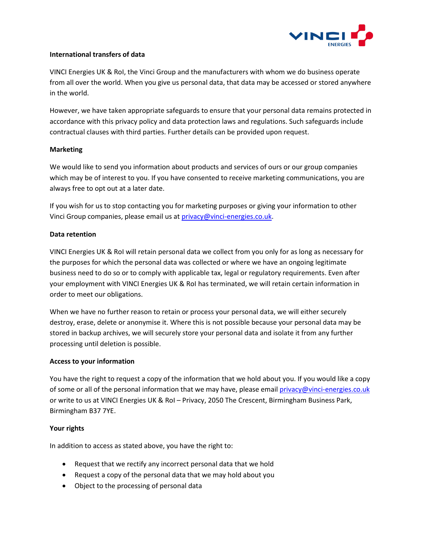

#### **International transfers of data**

VINCI Energies UK & RoI, the Vinci Group and the manufacturers with whom we do business operate from all over the world. When you give us personal data, that data may be accessed or stored anywhere in the world.

However, we have taken appropriate safeguards to ensure that your personal data remains protected in accordance with this privacy policy and data protection laws and regulations. Such safeguards include contractual clauses with third parties. Further details can be provided upon request.

## **Marketing**

We would like to send you information about products and services of ours or our group companies which may be of interest to you. If you have consented to receive marketing communications, you are always free to opt out at a later date.

If you wish for us to stop contacting you for marketing purposes or giving your information to other Vinci Group companies, please email us at [privacy@vinci-energies.co.uk.](mailto:privacy@vinci-energies.co.uk)

#### **Data retention**

VINCI Energies UK & RoI will retain personal data we collect from you only for as long as necessary for the purposes for which the personal data was collected or where we have an ongoing legitimate business need to do so or to comply with applicable tax, legal or regulatory requirements. Even after your employment with VINCI Energies UK & RoI has terminated, we will retain certain information in order to meet our obligations.

When we have no further reason to retain or process your personal data, we will either securely destroy, erase, delete or anonymise it. Where this is not possible because your personal data may be stored in backup archives, we will securely store your personal data and isolate it from any further processing until deletion is possible.

## **Access to your information**

You have the right to request a copy of the information that we hold about you. If you would like a copy of some or all of the personal information that we may have, please emai[l privacy@vinci-energies.co.uk](mailto:privacy@vinci-energies.co.uk) or write to us at VINCI Energies UK & RoI – Privacy, 2050 The Crescent, Birmingham Business Park, Birmingham B37 7YE.

## **Your rights**

In addition to access as stated above, you have the right to:

- Request that we rectify any incorrect personal data that we hold
- Request a copy of the personal data that we may hold about you
- Object to the processing of personal data